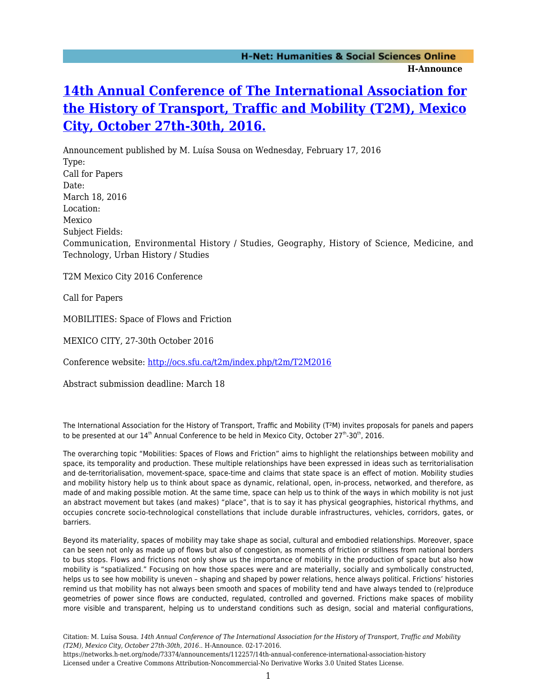## **[14th Annual Conference of The International Association for](https://networks.h-net.org/node/73374/announcements/112257/14th-annual-conference-international-association-history) [the History of Transport, Traffic and Mobility \(T2M\), Mexico](https://networks.h-net.org/node/73374/announcements/112257/14th-annual-conference-international-association-history) [City, October 27th-30th, 2016.](https://networks.h-net.org/node/73374/announcements/112257/14th-annual-conference-international-association-history)**

Announcement published by M. Luísa Sousa on Wednesday, February 17, 2016 Type: Call for Papers Date: March 18, 2016 Location: Mexico Subject Fields: Communication, Environmental History / Studies, Geography, History of Science, Medicine, and Technology, Urban History / Studies

T2M Mexico City 2016 Conference

Call for Papers

MOBILITIES: Space of Flows and Friction

MEXICO CITY, 27-30th October 2016

Conference website:<http://ocs.sfu.ca/t2m/index.php/t2m/T2M2016>

Abstract submission deadline: March 18

The International Association for the History of Transport, Traffic and Mobility (T²M) invites proposals for panels and papers to be presented at our  $14<sup>th</sup>$  Annual Conference to be held in Mexico City, October 27<sup>th</sup>-30<sup>th</sup>, 2016.

The overarching topic "Mobilities: Spaces of Flows and Friction" aims to highlight the relationships between mobility and space, its temporality and production. These multiple relationships have been expressed in ideas such as territorialisation and de-territorialisation, movement-space, space-time and claims that state space is an effect of motion. Mobility studies and mobility history help us to think about space as dynamic, relational, open, in-process, networked, and therefore, as made of and making possible motion. At the same time, space can help us to think of the ways in which mobility is not just an abstract movement but takes (and makes) "place", that is to say it has physical geographies, historical rhythms, and occupies concrete socio-technological constellations that include durable infrastructures, vehicles, corridors, gates, or barriers.

Beyond its materiality, spaces of mobility may take shape as social, cultural and embodied relationships. Moreover, space can be seen not only as made up of flows but also of congestion, as moments of friction or stillness from national borders to bus stops. Flows and frictions not only show us the importance of mobility in the production of space but also how mobility is "spatialized." Focusing on how those spaces were and are materially, socially and symbolically constructed, helps us to see how mobility is uneven – shaping and shaped by power relations, hence always political. Frictions' histories remind us that mobility has not always been smooth and spaces of mobility tend and have always tended to (re)produce geometries of power since flows are conducted, regulated, controlled and governed. Frictions make spaces of mobility more visible and transparent, helping us to understand conditions such as design, social and material configurations,

Citation: M. Luísa Sousa. *14th Annual Conference of The International Association for the History of Transport, Traffic and Mobility (T2M), Mexico City, October 27th-30th, 2016.*. H-Announce. 02-17-2016.

https://networks.h-net.org/node/73374/announcements/112257/14th-annual-conference-international-association-history Licensed under a Creative Commons Attribution-Noncommercial-No Derivative Works 3.0 United States License.